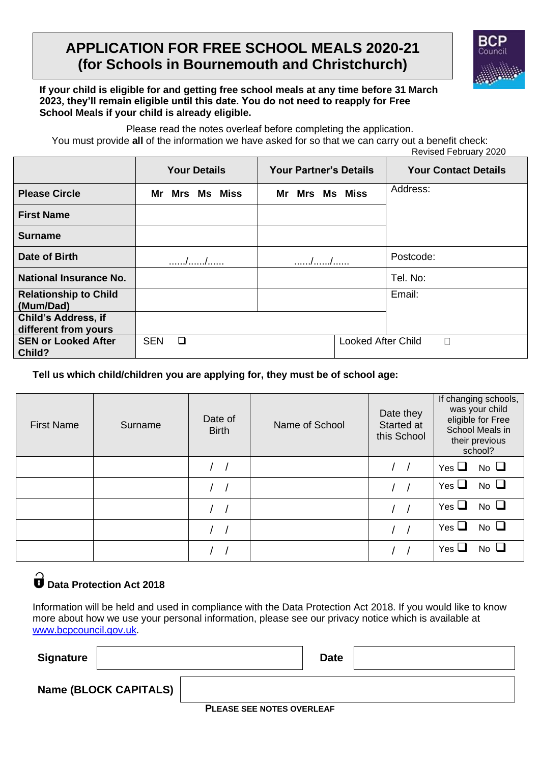# **APPLICATION FOR FREE SCHOOL MEALS 2020-21 (for Schools in Bournemouth and Christchurch)**



#### **If your child is eligible for and getting free school meals at any time before 31 March 2023, they'll remain eligible until this date. You do not need to reapply for Free School Meals if your child is already eligible.**

Please read the notes overleaf before completing the application. You must provide **all** of the information we have asked for so that we can carry out a benefit check:

Revised February 2020

|                                                    | <b>Your Details</b>  | <b>Your Partner's Details</b> | <b>Your Contact Details</b> |
|----------------------------------------------------|----------------------|-------------------------------|-----------------------------|
| <b>Please Circle</b>                               | Mrs Ms Miss<br>Mr    | Mr Mrs Ms Miss                | Address:                    |
| <b>First Name</b>                                  |                      |                               |                             |
| <b>Surname</b>                                     |                      |                               |                             |
| Date of Birth                                      | //                   | //                            | Postcode:                   |
| <b>National Insurance No.</b>                      |                      |                               | Tel. No:                    |
| <b>Relationship to Child</b><br>(Mum/Dad)          |                      |                               | Email:                      |
| <b>Child's Address, if</b><br>different from yours |                      |                               |                             |
| <b>SEN or Looked After</b><br>Child?               | <b>SEN</b><br>$\Box$ | <b>Looked After Child</b>     | $\mathbf{L}$                |

**Tell us which child/children you are applying for, they must be of school age:**

| <b>First Name</b> | Surname | Date of<br><b>Birth</b> | Name of School | Date they<br>Started at<br>this School | If changing schools,<br>was your child<br>eligible for Free<br>School Meals in<br>their previous<br>school? |
|-------------------|---------|-------------------------|----------------|----------------------------------------|-------------------------------------------------------------------------------------------------------------|
|                   |         |                         |                |                                        | $No$ $\Box$<br>Yes $\Box$                                                                                   |
|                   |         |                         |                |                                        | No $\Box$<br>Yes $\Box$                                                                                     |
|                   |         |                         |                |                                        | $No$ $\Box$<br>Yes $\Box$                                                                                   |
|                   |         |                         |                |                                        | $No$ $\Box$<br>Yes $\Box$                                                                                   |
|                   |         |                         |                |                                        | $No$ $\Box$<br>Yes $\sqcup$                                                                                 |

# $\overset{\curvearrowright}{\mathbf{D}}$  Data Protection Act 2018

Information will be held and used in compliance with the Data Protection Act 2018. If you would like to know more about how we use your personal information, please see our privacy notice which is available at [www.bcpcouncil.gov.uk.](http://www.bcpcouncil.gov.uk/)

| <b>Signature</b> |                              |                                  | <b>Date</b> |  |
|------------------|------------------------------|----------------------------------|-------------|--|
|                  | <b>Name (BLOCK CAPITALS)</b> |                                  |             |  |
|                  |                              | <b>PLEASE SEE NOTES OVERLEAF</b> |             |  |